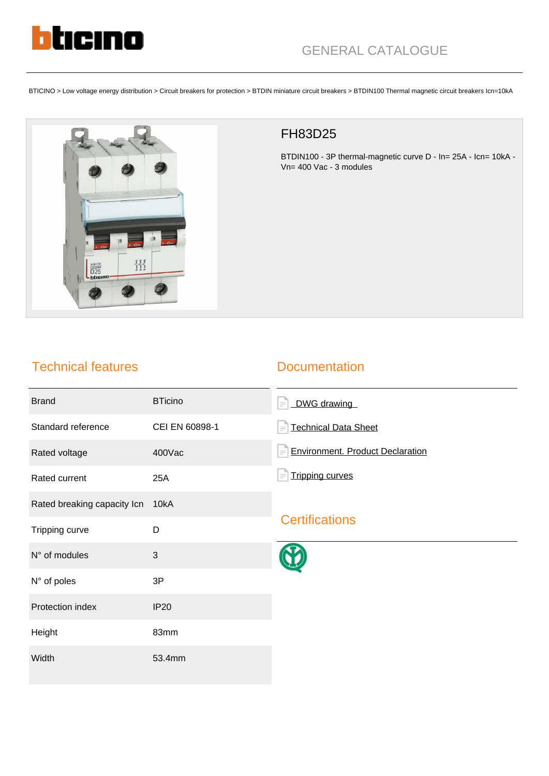

BTICINO > Low voltage energy distribution > Circuit breakers for protection > BTDIN miniature circuit breakers > BTDIN100 Thermal magnetic circuit breakers Icn=10kA



## FH83D25

BTDIN100 - 3P thermal-magnetic curve D - In= 25A - Icn= 10kA - Vn= 400 Vac - 3 modules

## Technical features

## **Documentation**

| <b>Brand</b>                | <b>BTicino</b> | DWG drawing<br>$\equiv$                      |
|-----------------------------|----------------|----------------------------------------------|
| Standard reference          | CEI EN 60898-1 | <b>Technical Data Sheet</b><br>$\equiv$      |
| Rated voltage               | 400Vac         | <b>Environment. Product Declaration</b><br>E |
| Rated current               | 25A            | <b>Tripping curves</b><br>$\equiv$           |
| Rated breaking capacity Icn | 10kA           |                                              |
| Tripping curve              | D              | <b>Certifications</b>                        |
| N° of modules               | $\mathbf{3}$   |                                              |
| N° of poles                 | 3P             |                                              |
| Protection index            | <b>IP20</b>    |                                              |
| Height                      | 83mm           |                                              |
| Width                       | 53.4mm         |                                              |